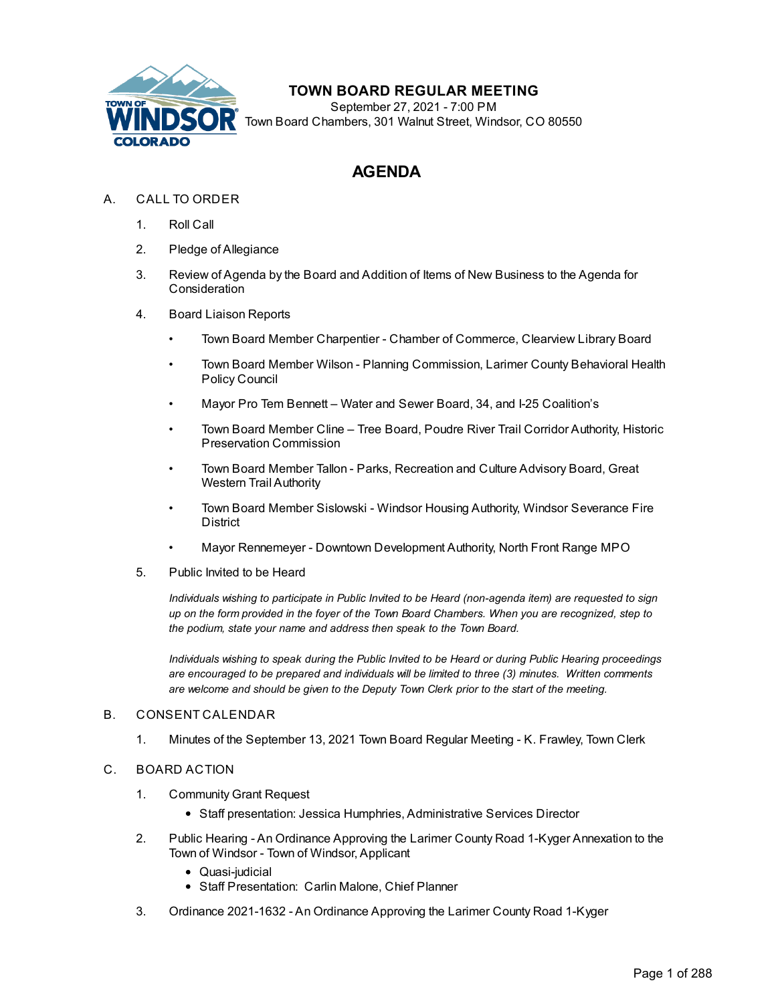

# **TOWN BOARD REGULAR MEETING**

September 27, 2021 - 7:00 PM Town Board Chambers, 301 Walnut Street, Windsor, CO 80550

# **AGENDA**

## A. CALL TO ORDER

- 1. Roll Call
- 2. Pledge of Allegiance
- 3. Review of Agenda by the Board and Addition of Items of New Business to the Agenda for **Consideration**
- 4. Board Liaison Reports
	- Town Board Member Charpentier Chamber of Commerce, Clearview Library Board
	- Town Board Member Wilson Planning Commission, Larimer County Behavioral Health Policy Council
	- Mayor Pro Tem Bennett Water and Sewer Board, 34, and I-25 Coalition's
	- Town Board Member Cline Tree Board, Poudre River Trail Corridor Authority, Historic Preservation Commission
	- Town Board Member Tallon Parks, Recreation and Culture Advisory Board, Great Western Trail Authority
	- Town Board Member Sislowski Windsor Housing Authority, Windsor Severance Fire **District**
	- Mayor Rennemeyer Downtown Development Authority, North Front Range MPO
- 5. Public Invited to be Heard

*Individuals wishing to participate in Public Invited to be Heard (non-agenda item) are requested to sign* up on the form provided in the foyer of the Town Board Chambers. When you are recognized, step to *the podium, state your name and address then speak to the Town Board.*

*Individuals wishing to speak during the Public Invited to be Heard or during Public Hearing proceedings are encouraged to be prepared and individuals will be limited to three (3) minutes. Written comments are welcome and should be given to the Deputy Town Clerk prior to the start of the meeting.*

#### B. CONSENT CALENDAR

1. Minutes of the September 13, 2021 Town Board Regular Meeting - K. Frawley, Town Clerk

#### C. BOARD ACTION

- 1. Community Grant Request
	- Staff presentation: Jessica Humphries, Administrative Services Director
- 2. Public Hearing An Ordinance Approving the Larimer County Road 1-Kyger Annexation to the Town of Windsor - Town of Windsor, Applicant
	- Quasi-judicial
	- Staff Presentation: Carlin Malone, Chief Planner
- 3. Ordinance 2021-1632 An Ordinance Approving the Larimer County Road 1-Kyger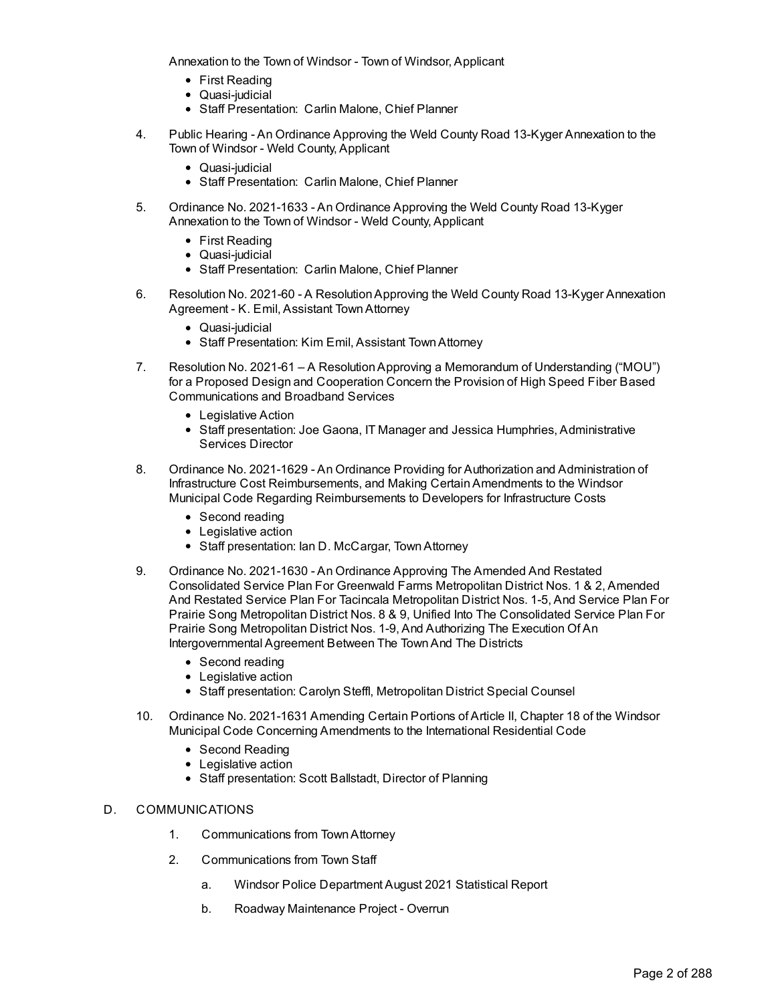Annexation to the Town of Windsor - Town of Windsor, Applicant

- First Reading
- Quasi-judicial
- Staff Presentation: Carlin Malone, Chief Planner
- 4. Public Hearing An Ordinance Approving the Weld County Road 13-Kyger Annexation to the Town of Windsor - Weld County, Applicant
	- Quasi-judicial
	- Staff Presentation: Carlin Malone, Chief Planner
- 5. Ordinance No. 2021-1633 An Ordinance Approving the Weld County Road 13-Kyger Annexation to the Town of Windsor - Weld County, Applicant
	- First Reading
	- Quasi-judicial
	- Staff Presentation: Carlin Malone, Chief Planner
- 6. Resolution No. 2021-60 A ResolutionApproving the Weld County Road 13-Kyger Annexation Agreement - K. Emil, Assistant TownAttorney
	- Quasi-judicial
	- Staff Presentation: Kim Emil, Assistant Town Attorney
- 7. Resolution No. 2021-61 A ResolutionApproving a Memorandum of Understanding ("MOU") for a Proposed Design and Cooperation Concern the Provision of High Speed Fiber Based Communications and Broadband Services
	- Legislative Action
	- Staff presentation: Joe Gaona, IT Manager and Jessica Humphries, Administrative Services Director
- 8. Ordinance No. 2021-1629 An Ordinance Providing for Authorization and Administration of Infrastructure Cost Reimbursements, and Making CertainAmendments to the Windsor Municipal Code Regarding Reimbursements to Developers for Infrastructure Costs
	- Second reading
	- Legislative action
	- Staff presentation: Ian D. McCargar, Town Attorney
- 9. Ordinance No. 2021-1630 An Ordinance Approving The Amended And Restated Consolidated Service Plan For Greenwald Farms Metropolitan District Nos. 1 & 2, Amended And Restated Service Plan For Tacincala Metropolitan District Nos. 1-5, And Service Plan For Prairie Song Metropolitan District Nos. 8 & 9, Unified Into The Consolidated Service Plan For Prairie Song Metropolitan District Nos. 1-9, And Authorizing The Execution Of An Intergovernmental Agreement Between The TownAnd The Districts
	- Second reading
	- Legislative action
	- Staff presentation: Carolyn Steffl, Metropolitan District Special Counsel
- 10. Ordinance No. 2021-1631 Amending Certain Portions of Article II, Chapter 18 of the Windsor Municipal Code Concerning Amendments to the International Residential Code
	- Second Reading
	- Legislative action
	- Staff presentation: Scott Ballstadt, Director of Planning

#### D. COMMUNICATIONS

- 1. Communications from TownAttorney
- 2. Communications from Town Staff
	- a. Windsor Police Department August 2021 Statistical Report
	- b. Roadway Maintenance Project Overrun